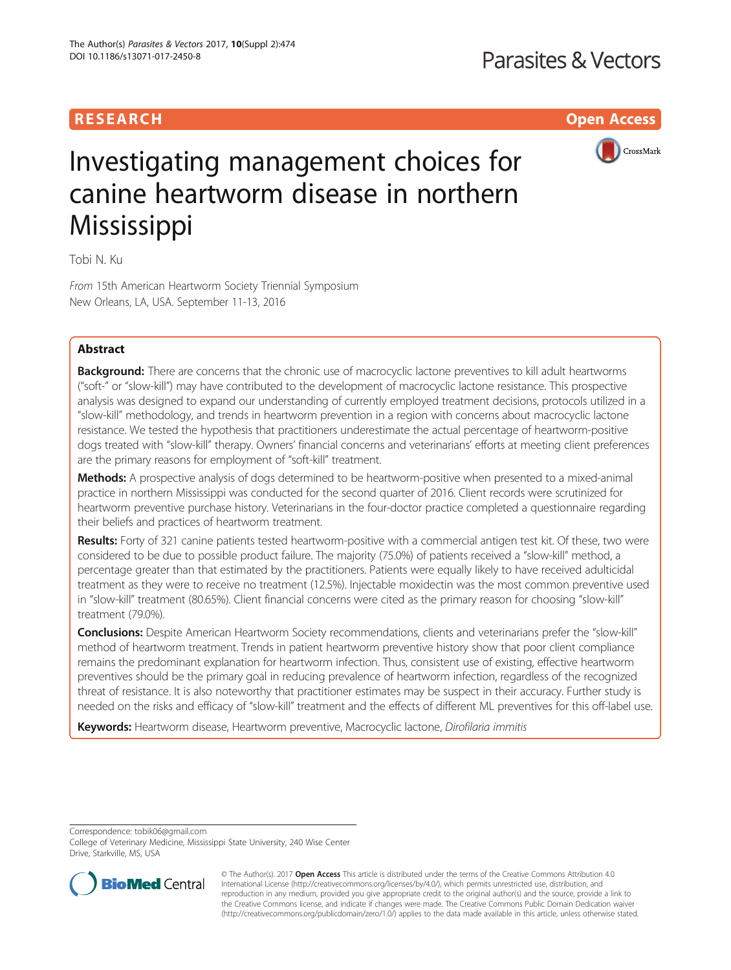# **RESEARCH CHE Open Access**



# Investigating management choices for canine heartworm disease in northern Mississippi

Tobi N. Ku

From 15th American Heartworm Society Triennial Symposium New Orleans, LA, USA. September 11-13, 2016

# Abstract

**Background:** There are concerns that the chronic use of macrocyclic lactone preventives to kill adult heartworms ("soft-" or "slow-kill") may have contributed to the development of macrocyclic lactone resistance. This prospective analysis was designed to expand our understanding of currently employed treatment decisions, protocols utilized in a "slow-kill" methodology, and trends in heartworm prevention in a region with concerns about macrocyclic lactone resistance. We tested the hypothesis that practitioners underestimate the actual percentage of heartworm-positive dogs treated with "slow-kill" therapy. Owners' financial concerns and veterinarians' efforts at meeting client preferences are the primary reasons for employment of "soft-kill" treatment.

Methods: A prospective analysis of dogs determined to be heartworm-positive when presented to a mixed-animal practice in northern Mississippi was conducted for the second quarter of 2016. Client records were scrutinized for heartworm preventive purchase history. Veterinarians in the four-doctor practice completed a questionnaire regarding their beliefs and practices of heartworm treatment.

Results: Forty of 321 canine patients tested heartworm-positive with a commercial antigen test kit. Of these, two were considered to be due to possible product failure. The majority (75.0%) of patients received a "slow-kill" method, a percentage greater than that estimated by the practitioners. Patients were equally likely to have received adulticidal treatment as they were to receive no treatment (12.5%). Injectable moxidectin was the most common preventive used in "slow-kill" treatment (80.65%). Client financial concerns were cited as the primary reason for choosing "slow-kill" treatment (79.0%).

Conclusions: Despite American Heartworm Society recommendations, clients and veterinarians prefer the "slow-kill" method of heartworm treatment. Trends in patient heartworm preventive history show that poor client compliance remains the predominant explanation for heartworm infection. Thus, consistent use of existing, effective heartworm preventives should be the primary goal in reducing prevalence of heartworm infection, regardless of the recognized threat of resistance. It is also noteworthy that practitioner estimates may be suspect in their accuracy. Further study is needed on the risks and efficacy of "slow-kill" treatment and the effects of different ML preventives for this off-label use.

Keywords: Heartworm disease, Heartworm preventive, Macrocyclic lactone, Dirofilaria immitis

Correspondence: [tobik06@gmail.com](mailto:tobik06@gmail.com)

College of Veterinary Medicine, Mississippi State University, 240 Wise Center Drive, Starkville, MS, USA



© The Author(s). 2017 **Open Access** This article is distributed under the terms of the Creative Commons Attribution 4.0 International License [\(http://creativecommons.org/licenses/by/4.0/](http://creativecommons.org/licenses/by/4.0/)), which permits unrestricted use, distribution, and reproduction in any medium, provided you give appropriate credit to the original author(s) and the source, provide a link to the Creative Commons license, and indicate if changes were made. The Creative Commons Public Domain Dedication waiver [\(http://creativecommons.org/publicdomain/zero/1.0/](http://creativecommons.org/publicdomain/zero/1.0/)) applies to the data made available in this article, unless otherwise stated.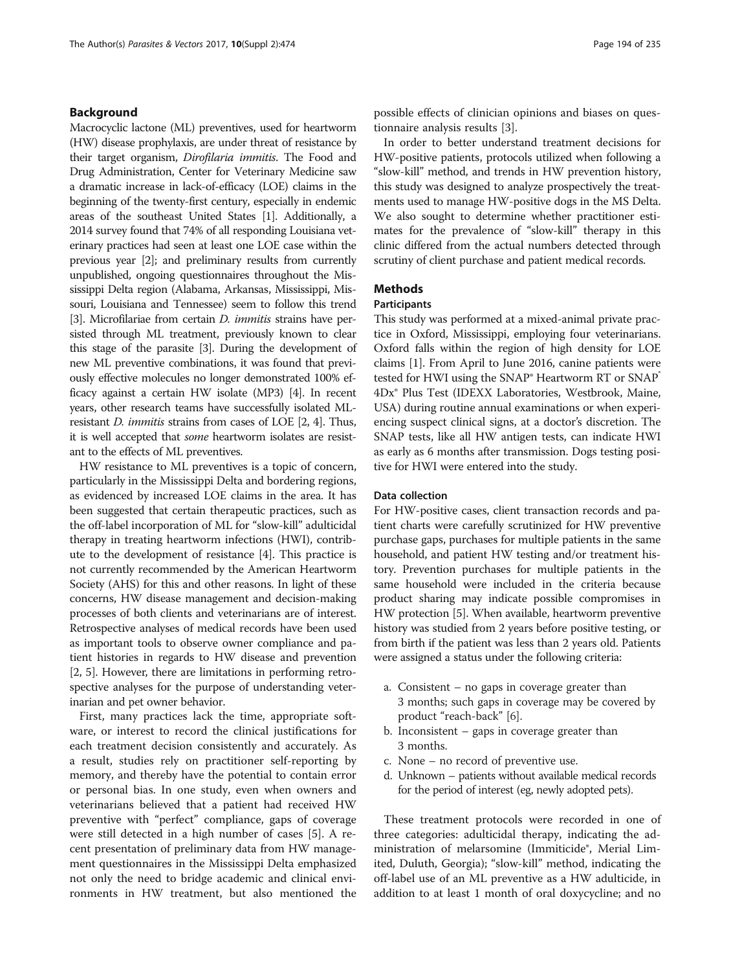## Background

Macrocyclic lactone (ML) preventives, used for heartworm (HW) disease prophylaxis, are under threat of resistance by their target organism, Dirofilaria immitis. The Food and Drug Administration, Center for Veterinary Medicine saw a dramatic increase in lack-of-efficacy (LOE) claims in the beginning of the twenty-first century, especially in endemic areas of the southeast United States [\[1](#page-6-0)]. Additionally, a 2014 survey found that 74% of all responding Louisiana veterinary practices had seen at least one LOE case within the previous year [\[2\]](#page-6-0); and preliminary results from currently unpublished, ongoing questionnaires throughout the Mississippi Delta region (Alabama, Arkansas, Mississippi, Missouri, Louisiana and Tennessee) seem to follow this trend [[3](#page-6-0)]. Microfilariae from certain *D. immitis* strains have persisted through ML treatment, previously known to clear this stage of the parasite [\[3\]](#page-6-0). During the development of new ML preventive combinations, it was found that previously effective molecules no longer demonstrated 100% efficacy against a certain HW isolate (MP3) [[4](#page-6-0)]. In recent years, other research teams have successfully isolated MLresistant D. immitis strains from cases of LOE [[2](#page-6-0), [4](#page-6-0)]. Thus, it is well accepted that some heartworm isolates are resistant to the effects of ML preventives.

HW resistance to ML preventives is a topic of concern, particularly in the Mississippi Delta and bordering regions, as evidenced by increased LOE claims in the area. It has been suggested that certain therapeutic practices, such as the off-label incorporation of ML for "slow-kill" adulticidal therapy in treating heartworm infections (HWI), contribute to the development of resistance [\[4\]](#page-6-0). This practice is not currently recommended by the American Heartworm Society (AHS) for this and other reasons. In light of these concerns, HW disease management and decision-making processes of both clients and veterinarians are of interest. Retrospective analyses of medical records have been used as important tools to observe owner compliance and patient histories in regards to HW disease and prevention [[2, 5\]](#page-6-0). However, there are limitations in performing retrospective analyses for the purpose of understanding veterinarian and pet owner behavior.

First, many practices lack the time, appropriate software, or interest to record the clinical justifications for each treatment decision consistently and accurately. As a result, studies rely on practitioner self-reporting by memory, and thereby have the potential to contain error or personal bias. In one study, even when owners and veterinarians believed that a patient had received HW preventive with "perfect" compliance, gaps of coverage were still detected in a high number of cases [\[5\]](#page-6-0). A recent presentation of preliminary data from HW management questionnaires in the Mississippi Delta emphasized not only the need to bridge academic and clinical environments in HW treatment, but also mentioned the possible effects of clinician opinions and biases on questionnaire analysis results [[3](#page-6-0)].

In order to better understand treatment decisions for HW-positive patients, protocols utilized when following a "slow-kill" method, and trends in HW prevention history, this study was designed to analyze prospectively the treatments used to manage HW-positive dogs in the MS Delta. We also sought to determine whether practitioner estimates for the prevalence of "slow-kill" therapy in this clinic differed from the actual numbers detected through scrutiny of client purchase and patient medical records.

## **Methods**

## **Participants**

This study was performed at a mixed-animal private practice in Oxford, Mississippi, employing four veterinarians. Oxford falls within the region of high density for LOE claims [\[1](#page-6-0)]. From April to June 2016, canine patients were tested for HWI using the SNAP<sup>®</sup> Heartworm RT or SNAP<sup>®</sup> 4Dx® Plus Test (IDEXX Laboratories, Westbrook, Maine, USA) during routine annual examinations or when experiencing suspect clinical signs, at a doctor's discretion. The SNAP tests, like all HW antigen tests, can indicate HWI as early as 6 months after transmission. Dogs testing positive for HWI were entered into the study.

## Data collection

For HW-positive cases, client transaction records and patient charts were carefully scrutinized for HW preventive purchase gaps, purchases for multiple patients in the same household, and patient HW testing and/or treatment history. Prevention purchases for multiple patients in the same household were included in the criteria because product sharing may indicate possible compromises in HW protection [[5\]](#page-6-0). When available, heartworm preventive history was studied from 2 years before positive testing, or from birth if the patient was less than 2 years old. Patients were assigned a status under the following criteria:

- a. Consistent no gaps in coverage greater than 3 months; such gaps in coverage may be covered by product "reach-back" [[6\]](#page-6-0).
- b. Inconsistent gaps in coverage greater than 3 months.
- c. None no record of preventive use.
- d. Unknown patients without available medical records for the period of interest (eg, newly adopted pets).

These treatment protocols were recorded in one of three categories: adulticidal therapy, indicating the administration of melarsomine (Immiticide®, Merial Limited, Duluth, Georgia); "slow-kill" method, indicating the off-label use of an ML preventive as a HW adulticide, in addition to at least 1 month of oral doxycycline; and no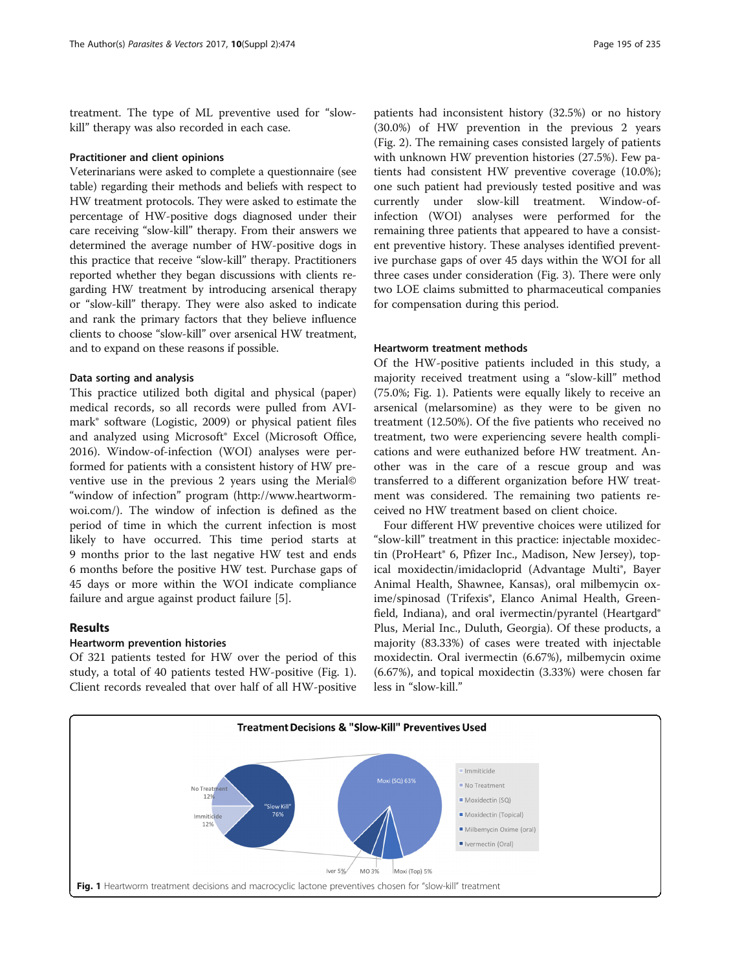treatment. The type of ML preventive used for "slowkill" therapy was also recorded in each case.

## Practitioner and client opinions

Veterinarians were asked to complete a questionnaire (see table) regarding their methods and beliefs with respect to HW treatment protocols. They were asked to estimate the percentage of HW-positive dogs diagnosed under their care receiving "slow-kill" therapy. From their answers we determined the average number of HW-positive dogs in this practice that receive "slow-kill" therapy. Practitioners reported whether they began discussions with clients regarding HW treatment by introducing arsenical therapy or "slow-kill" therapy. They were also asked to indicate and rank the primary factors that they believe influence clients to choose "slow-kill" over arsenical HW treatment, and to expand on these reasons if possible.

## Data sorting and analysis

This practice utilized both digital and physical (paper) medical records, so all records were pulled from AVImark® software (Logistic, 2009) or physical patient files and analyzed using Microsoft® Excel (Microsoft Office, 2016). Window-of-infection (WOI) analyses were performed for patients with a consistent history of HW preventive use in the previous 2 years using the Merial© "window of infection" program [\(http://www.heartworm](http://www.heartwormwoi.com/)[woi.com/\)](http://www.heartwormwoi.com/). The window of infection is defined as the period of time in which the current infection is most likely to have occurred. This time period starts at 9 months prior to the last negative HW test and ends 6 months before the positive HW test. Purchase gaps of 45 days or more within the WOI indicate compliance failure and argue against product failure [\[5](#page-6-0)].

## Results

## Heartworm prevention histories

Of 321 patients tested for HW over the period of this study, a total of 40 patients tested HW-positive (Fig. 1). Client records revealed that over half of all HW-positive

patients had inconsistent history (32.5%) or no history (30.0%) of HW prevention in the previous 2 years (Fig. [2](#page-3-0)). The remaining cases consisted largely of patients with unknown HW prevention histories (27.5%). Few patients had consistent HW preventive coverage (10.0%); one such patient had previously tested positive and was currently under slow-kill treatment. Window-ofinfection (WOI) analyses were performed for the remaining three patients that appeared to have a consistent preventive history. These analyses identified preventive purchase gaps of over 45 days within the WOI for all three cases under consideration (Fig. [3](#page-4-0)). There were only two LOE claims submitted to pharmaceutical companies for compensation during this period.

## Heartworm treatment methods

Of the HW-positive patients included in this study, a majority received treatment using a "slow-kill" method (75.0%; Fig. 1). Patients were equally likely to receive an arsenical (melarsomine) as they were to be given no treatment (12.50%). Of the five patients who received no treatment, two were experiencing severe health complications and were euthanized before HW treatment. Another was in the care of a rescue group and was transferred to a different organization before HW treatment was considered. The remaining two patients received no HW treatment based on client choice.

Four different HW preventive choices were utilized for "slow-kill" treatment in this practice: injectable moxidectin (ProHeart® 6, Pfizer Inc., Madison, New Jersey), topical moxidectin/imidacloprid (Advantage Multi®, Bayer Animal Health, Shawnee, Kansas), oral milbemycin oxime/spinosad (Trifexis®, Elanco Animal Health, Greenfield, Indiana), and oral ivermectin/pyrantel (Heartgard® Plus, Merial Inc., Duluth, Georgia). Of these products, a majority (83.33%) of cases were treated with injectable moxidectin. Oral ivermectin (6.67%), milbemycin oxime (6.67%), and topical moxidectin (3.33%) were chosen far less in "slow-kill."

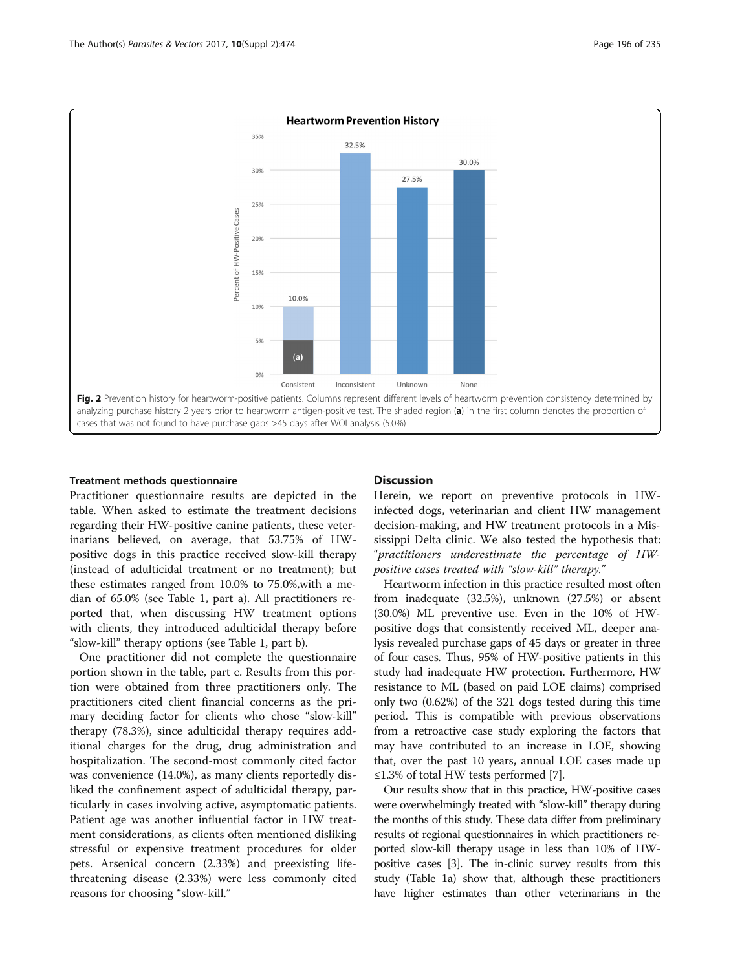<span id="page-3-0"></span>

## Treatment methods questionnaire

Practitioner questionnaire results are depicted in the table. When asked to estimate the treatment decisions regarding their HW-positive canine patients, these veterinarians believed, on average, that 53.75% of HWpositive dogs in this practice received slow-kill therapy (instead of adulticidal treatment or no treatment); but these estimates ranged from 10.0% to 75.0%,with a median of 65.0% (see Table [1,](#page-5-0) part a). All practitioners reported that, when discussing HW treatment options with clients, they introduced adulticidal therapy before "slow-kill" therapy options (see Table [1](#page-5-0), part b).

One practitioner did not complete the questionnaire portion shown in the table, part c. Results from this portion were obtained from three practitioners only. The practitioners cited client financial concerns as the primary deciding factor for clients who chose "slow-kill" therapy (78.3%), since adulticidal therapy requires additional charges for the drug, drug administration and hospitalization. The second-most commonly cited factor was convenience (14.0%), as many clients reportedly disliked the confinement aspect of adulticidal therapy, particularly in cases involving active, asymptomatic patients. Patient age was another influential factor in HW treatment considerations, as clients often mentioned disliking stressful or expensive treatment procedures for older pets. Arsenical concern (2.33%) and preexisting lifethreatening disease (2.33%) were less commonly cited reasons for choosing "slow-kill."

## **Discussion**

Herein, we report on preventive protocols in HWinfected dogs, veterinarian and client HW management decision-making, and HW treatment protocols in a Mississippi Delta clinic. We also tested the hypothesis that: "practitioners underestimate the percentage of HWpositive cases treated with "slow-kill" therapy."

Heartworm infection in this practice resulted most often from inadequate (32.5%), unknown (27.5%) or absent (30.0%) ML preventive use. Even in the 10% of HWpositive dogs that consistently received ML, deeper analysis revealed purchase gaps of 45 days or greater in three of four cases. Thus, 95% of HW-positive patients in this study had inadequate HW protection. Furthermore, HW resistance to ML (based on paid LOE claims) comprised only two (0.62%) of the 321 dogs tested during this time period. This is compatible with previous observations from a retroactive case study exploring the factors that may have contributed to an increase in LOE, showing that, over the past 10 years, annual LOE cases made up ≤1.3% of total HW tests performed [\[7](#page-6-0)].

Our results show that in this practice, HW-positive cases were overwhelmingly treated with "slow-kill" therapy during the months of this study. These data differ from preliminary results of regional questionnaires in which practitioners reported slow-kill therapy usage in less than 10% of HWpositive cases [\[3](#page-6-0)]. The in-clinic survey results from this study (Table [1a\)](#page-5-0) show that, although these practitioners have higher estimates than other veterinarians in the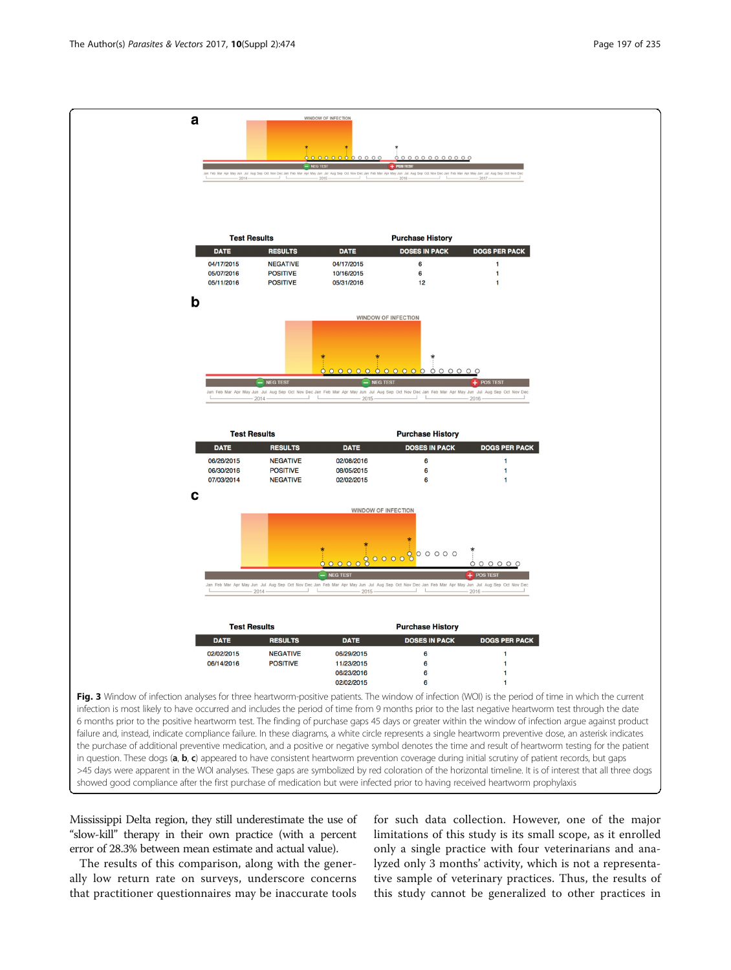<span id="page-4-0"></span>

Mississippi Delta region, they still underestimate the use of "slow-kill" therapy in their own practice (with a percent error of 28.3% between mean estimate and actual value).

The results of this comparison, along with the generally low return rate on surveys, underscore concerns that practitioner questionnaires may be inaccurate tools

for such data collection. However, one of the major limitations of this study is its small scope, as it enrolled only a single practice with four veterinarians and analyzed only 3 months' activity, which is not a representative sample of veterinary practices. Thus, the results of this study cannot be generalized to other practices in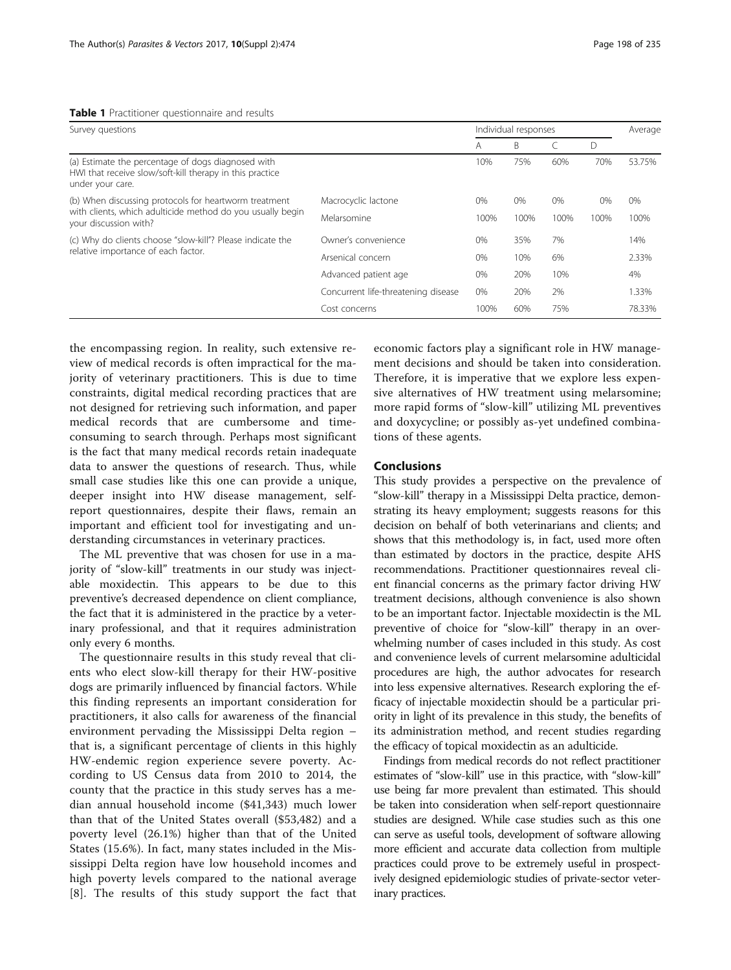<span id="page-5-0"></span>

| Survey questions                                                                                                                             |                                     | Individual responses |      |      |      | Average |
|----------------------------------------------------------------------------------------------------------------------------------------------|-------------------------------------|----------------------|------|------|------|---------|
|                                                                                                                                              |                                     | A                    | B    |      | D    |         |
| (a) Estimate the percentage of dogs diagnosed with<br>HWI that receive slow/soft-kill therapy in this practice<br>under your care.           |                                     | 10%                  | 75%  | 60%  | 70%  | 53.75%  |
| (b) When discussing protocols for heartworm treatment<br>with clients, which adulticide method do you usually begin<br>your discussion with? | Macrocyclic lactone                 | 0%                   | 0%   | 0%   | 0%   | $0\%$   |
|                                                                                                                                              | Melarsomine                         | 100%                 | 100% | 100% | 100% | 100%    |
| (c) Why do clients choose "slow-kill"? Please indicate the<br>relative importance of each factor.                                            | Owner's convenience                 | 0%                   | 35%  | 7%   |      | 14%     |
|                                                                                                                                              | Arsenical concern                   | 0%                   | 10%  | 6%   |      | 2.33%   |
|                                                                                                                                              | Advanced patient age                | 0%                   | 20%  | 10%  |      | 4%      |
|                                                                                                                                              | Concurrent life-threatening disease | 0%                   | 20%  | 2%   |      | 1.33%   |
|                                                                                                                                              | Cost concerns                       | 100%                 | 60%  | 75%  |      | 78.33%  |

the encompassing region. In reality, such extensive review of medical records is often impractical for the majority of veterinary practitioners. This is due to time constraints, digital medical recording practices that are not designed for retrieving such information, and paper medical records that are cumbersome and timeconsuming to search through. Perhaps most significant is the fact that many medical records retain inadequate data to answer the questions of research. Thus, while small case studies like this one can provide a unique, deeper insight into HW disease management, selfreport questionnaires, despite their flaws, remain an important and efficient tool for investigating and understanding circumstances in veterinary practices.

The ML preventive that was chosen for use in a majority of "slow-kill" treatments in our study was injectable moxidectin. This appears to be due to this preventive's decreased dependence on client compliance, the fact that it is administered in the practice by a veterinary professional, and that it requires administration only every 6 months.

The questionnaire results in this study reveal that clients who elect slow-kill therapy for their HW-positive dogs are primarily influenced by financial factors. While this finding represents an important consideration for practitioners, it also calls for awareness of the financial environment pervading the Mississippi Delta region – that is, a significant percentage of clients in this highly HW-endemic region experience severe poverty. According to US Census data from 2010 to 2014, the county that the practice in this study serves has a median annual household income (\$41,343) much lower than that of the United States overall (\$53,482) and a poverty level (26.1%) higher than that of the United States (15.6%). In fact, many states included in the Mississippi Delta region have low household incomes and high poverty levels compared to the national average [[8\]](#page-6-0). The results of this study support the fact that

economic factors play a significant role in HW management decisions and should be taken into consideration. Therefore, it is imperative that we explore less expensive alternatives of HW treatment using melarsomine; more rapid forms of "slow-kill" utilizing ML preventives and doxycycline; or possibly as-yet undefined combinations of these agents.

## Conclusions

This study provides a perspective on the prevalence of "slow-kill" therapy in a Mississippi Delta practice, demonstrating its heavy employment; suggests reasons for this decision on behalf of both veterinarians and clients; and shows that this methodology is, in fact, used more often than estimated by doctors in the practice, despite AHS recommendations. Practitioner questionnaires reveal client financial concerns as the primary factor driving HW treatment decisions, although convenience is also shown to be an important factor. Injectable moxidectin is the ML preventive of choice for "slow-kill" therapy in an overwhelming number of cases included in this study. As cost and convenience levels of current melarsomine adulticidal procedures are high, the author advocates for research into less expensive alternatives. Research exploring the efficacy of injectable moxidectin should be a particular priority in light of its prevalence in this study, the benefits of its administration method, and recent studies regarding the efficacy of topical moxidectin as an adulticide.

Findings from medical records do not reflect practitioner estimates of "slow-kill" use in this practice, with "slow-kill" use being far more prevalent than estimated. This should be taken into consideration when self-report questionnaire studies are designed. While case studies such as this one can serve as useful tools, development of software allowing more efficient and accurate data collection from multiple practices could prove to be extremely useful in prospectively designed epidemiologic studies of private-sector veterinary practices.